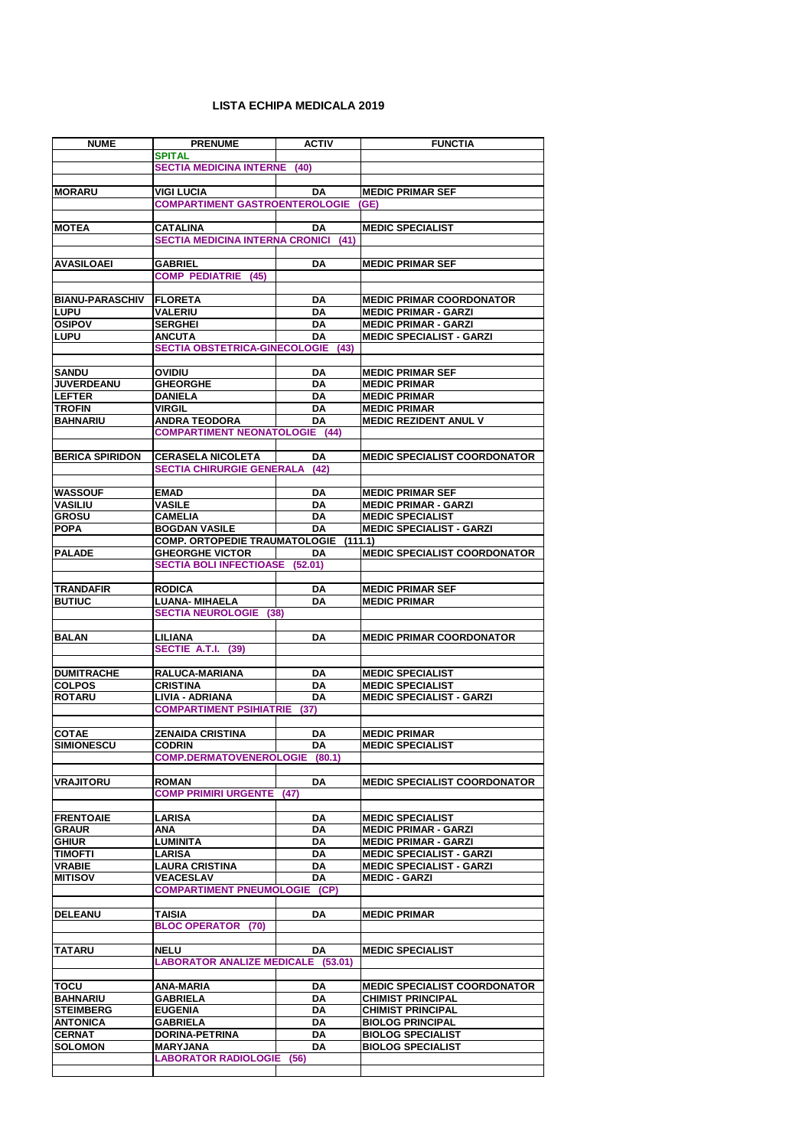| <b>NUME</b>                         | <b>PRENUME</b>                                  | <b>ACTIV</b>           | <b>FUNCTIA</b>                                      |
|-------------------------------------|-------------------------------------------------|------------------------|-----------------------------------------------------|
|                                     | <b>SPITAL</b>                                   |                        |                                                     |
|                                     | <b>SECTIA MEDICINA INTERNE</b>                  | (40)                   |                                                     |
|                                     |                                                 |                        |                                                     |
| <b>MORARU</b>                       | <b>VIGI LUCIA</b>                               | <b>DA</b>              | <b>MEDIC PRIMAR SEF</b>                             |
|                                     | <b>COMPARTIMENT GASTROENTEROLOGIE</b>           |                        | (GE)                                                |
|                                     |                                                 |                        |                                                     |
| <b>MOTEA</b>                        | <b>CATALINA</b>                                 | <b>DA</b>              | <b>MEDIC SPECIALIST</b>                             |
|                                     | <b>SECTIA MEDICINA INTERNA CRONICI</b>          | (41)                   |                                                     |
|                                     |                                                 |                        |                                                     |
| <b>AVASILOAEI</b>                   | <b>GABRIEL</b><br><b>COMP PEDIATRIE</b><br>(45) | DA                     | <b>MEDIC PRIMAR SEF</b>                             |
|                                     |                                                 |                        |                                                     |
| <b>BIANU-PARASCHIV</b>              | <b>FLORETA</b>                                  | DA                     | <b>MEDIC PRIMAR COORDONATOR</b>                     |
| <b>LUPU</b>                         | <b>VALERIU</b>                                  | <b>DA</b>              | <b>MEDIC PRIMAR - GARZI</b>                         |
| <b>OSIPOV</b>                       | <b>SERGHEI</b>                                  | DA                     | <b>MEDIC PRIMAR - GARZI</b>                         |
| <b>LUPU</b>                         | <b>ANCUTA</b>                                   | <b>DA</b>              | <b>MEDIC SPECIALIST - GARZI</b>                     |
|                                     | <b>SECTIA OBSTETRICA-GINECOLOGIE</b>            | (43)                   |                                                     |
|                                     |                                                 |                        |                                                     |
| <b>SANDU</b>                        | <b>OVIDIU</b>                                   | DA                     | <b>MEDIC PRIMAR SEF</b>                             |
| <b>JUVERDEANU</b>                   | <b>GHEORGHE</b>                                 | <b>DA</b>              | <b>MEDIC PRIMAR</b>                                 |
| <b>LEFTER</b>                       | <b>DANIELA</b>                                  | <b>DA</b>              | <b>MEDIC PRIMAR</b>                                 |
| <b>TROFIN</b>                       | <b>VIRGIL</b>                                   | <b>DA</b>              | <b>MEDIC PRIMAR</b>                                 |
| <b>BAHNARIU</b>                     | <b>ANDRA TEODORA</b>                            | <b>DA</b>              | <b>MEDIC REZIDENT ANUL V</b>                        |
|                                     | <b>COMPARTIMENT NEONATOLOGIE (44)</b>           |                        |                                                     |
|                                     |                                                 |                        |                                                     |
| <b>BERICA SPIRIDON</b>              | <b>CERASELA NICOLETA</b>                        | DA                     | <b>MEDIC SPECIALIST COORDONATOR</b>                 |
|                                     | <b>SECTIA CHIRURGIE GENERALA</b>                | (42)                   |                                                     |
| <b>WASSOUF</b>                      | <b>EMAD</b>                                     | <b>DA</b>              | <b>MEDIC PRIMAR SEF</b>                             |
| <b>VASILIU</b>                      | <b>VASILE</b>                                   | <b>DA</b>              | <b>MEDIC PRIMAR - GARZI</b>                         |
| <b>GROSU</b>                        | <b>CAMELIA</b>                                  | <b>DA</b>              | <b>MEDIC SPECIALIST</b>                             |
| <b>POPA</b>                         | <b>BOGDAN VASILE</b>                            | DA                     | <b>MEDIC SPECIALIST - GARZI</b>                     |
|                                     | <b>COMP. ORTOPEDIE TRAUMATOLOGIE</b>            |                        | (111.1)                                             |
| <b>PALADE</b>                       | <b>GHEORGHE VICTOR</b>                          | <b>DA</b>              | <b>MEDIC SPECIALIST COORDONATOR</b>                 |
|                                     | <b>SECTIA BOLI INFECTIOASE (52.01)</b>          |                        |                                                     |
|                                     |                                                 |                        |                                                     |
| <b>TRANDAFIR</b>                    | <b>RODICA</b>                                   | <b>DA</b>              | <b>MEDIC PRIMAR SEF</b>                             |
| <b>BUTIUC</b>                       | <b>LUANA- MIHAELA</b>                           | <b>DA</b>              | <b>MEDIC PRIMAR</b>                                 |
|                                     | <b>SECTIA NEUROLOGIE</b><br>(38)                |                        |                                                     |
|                                     |                                                 |                        |                                                     |
| <b>BALAN</b>                        | <b>LILIANA</b>                                  | <b>DA</b>              | <b>MEDIC PRIMAR COORDONATOR</b>                     |
|                                     | SECTIE A.T.I.<br>(39)                           |                        |                                                     |
| <b>DUMITRACHE</b>                   | RALUCA-MARIANA                                  | DA                     | <b>MEDIC SPECIALIST</b>                             |
| <b>COLPOS</b>                       | <b>CRISTINA</b>                                 | <b>DA</b>              | <b>MEDIC SPECIALIST</b>                             |
| <b>ROTARU</b>                       | <b>LIVIA - ADRIANA</b>                          | DA                     | <b>MEDIC SPECIALIST - GARZI</b>                     |
|                                     | <b>COMPARTIMENT PSIHIATRIE</b>                  | (37)                   |                                                     |
|                                     |                                                 |                        |                                                     |
| <b>COTAE</b>                        | <b>ZENAIDA CRISTINA</b>                         | DA                     | <b>MEDIC PRIMAR</b>                                 |
| <b>SIMIONESCU</b>                   | <b>CODRIN</b>                                   | <b>DA</b>              | <b>MEDIC SPECIALIST</b>                             |
|                                     | <b>COMP.DERMATOVENEROLOGIE</b>                  | (80.1)                 |                                                     |
|                                     |                                                 |                        |                                                     |
| <b>VRAJITORU</b>                    | <b>ROMAN</b>                                    | <b>DA</b>              | <b>MEDIC SPECIALIST COORDONATOR</b>                 |
|                                     | <b>COMP PRIMIRI URGENTE</b>                     | (47)                   |                                                     |
| <b>FRENTOAIE</b>                    | <b>LARISA</b>                                   |                        | <b>MEDIC SPECIALIST</b>                             |
| <b>GRAUR</b>                        | <b>ANA</b>                                      | DA<br>DA               | <b>MEDIC PRIMAR - GARZI</b>                         |
| <b>GHIUR</b>                        | <b>LUMINITA</b>                                 | <b>DA</b>              | <b>MEDIC PRIMAR - GARZI</b>                         |
| <b>TIMOFTI</b>                      | <b>LARISA</b>                                   | <b>DA</b>              | <b>MEDIC SPECIALIST - GARZI</b>                     |
| <b>VRABIE</b>                       | <b>LAURA CRISTINA</b>                           | <b>DA</b>              | <b>MEDIC SPECIALIST - GARZI</b>                     |
| <b>MITISOV</b>                      | <b>VEACESLAV</b>                                | <b>DA</b>              | <b>MEDIC - GARZI</b>                                |
|                                     | <b>COMPARTIMENT PNEUMOLOGIE</b>                 | (CP)                   |                                                     |
|                                     |                                                 |                        |                                                     |
| <b>DELEANU</b>                      | <b>TAISIA</b>                                   | <b>DA</b>              | <b>MEDIC PRIMAR</b>                                 |
|                                     | <b>BLOC OPERATOR (70)</b>                       |                        |                                                     |
|                                     |                                                 |                        |                                                     |
| <b>TATARU</b>                       | <b>NELU</b>                                     | <b>DA</b>              | <b>MEDIC SPECIALIST</b>                             |
|                                     | <b>LABORATOR ANALIZE MEDICALE (53.01)</b>       |                        |                                                     |
|                                     |                                                 |                        |                                                     |
| <b>TOCU</b>                         | <b>ANA-MARIA</b>                                | DA                     | <b>MEDIC SPECIALIST COORDONATOR</b>                 |
| <b>BAHNARIU</b>                     | <b>GABRIELA</b>                                 | <b>DA</b>              | <b>CHIMIST PRINCIPAL</b>                            |
| <b>STEIMBERG</b><br><b>ANTONICA</b> | <b>EUGENIA</b><br><b>GABRIELA</b>               | <b>DA</b><br><b>DA</b> | <b>CHIMIST PRINCIPAL</b><br><b>BIOLOG PRINCIPAL</b> |
| <b>CERNAT</b>                       | <b>DORINA-PETRINA</b>                           | DA                     | <b>BIOLOG SPECIALIST</b>                            |
| <b>SOLOMON</b>                      | <b>MARYJANA</b>                                 | <b>DA</b>              | <b>BIOLOG SPECIALIST</b>                            |
|                                     | <b>LABORATOR RADIOLOGIE</b>                     | (56)                   |                                                     |
|                                     |                                                 |                        |                                                     |

## **LISTA ECHIPA MEDICALA 2019**